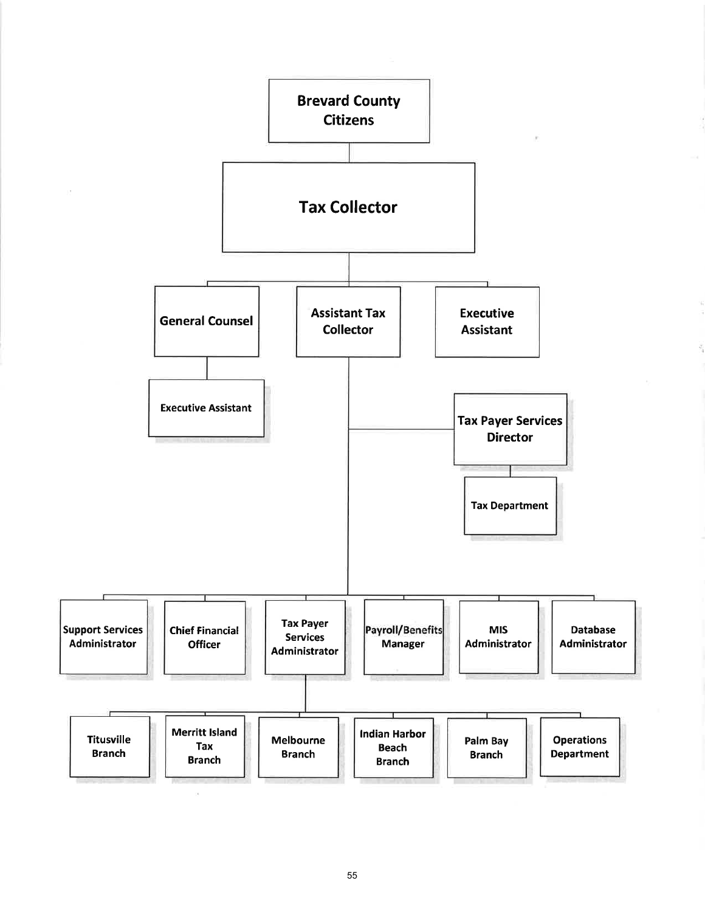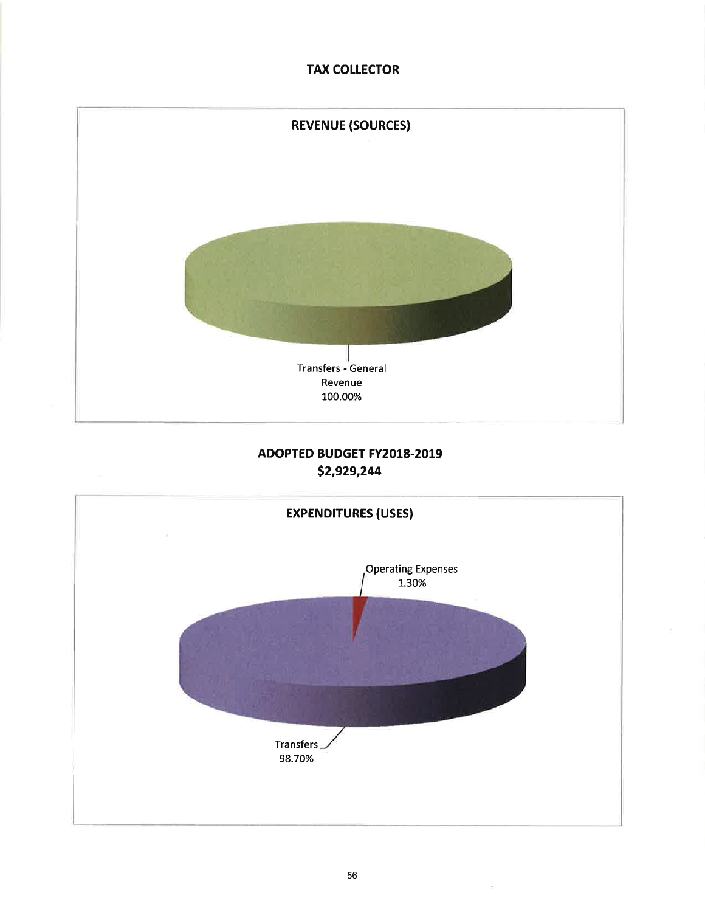## **TAX COLLECTOR**



## ADOPTED BUDGET FY2018.2019 52,929,244

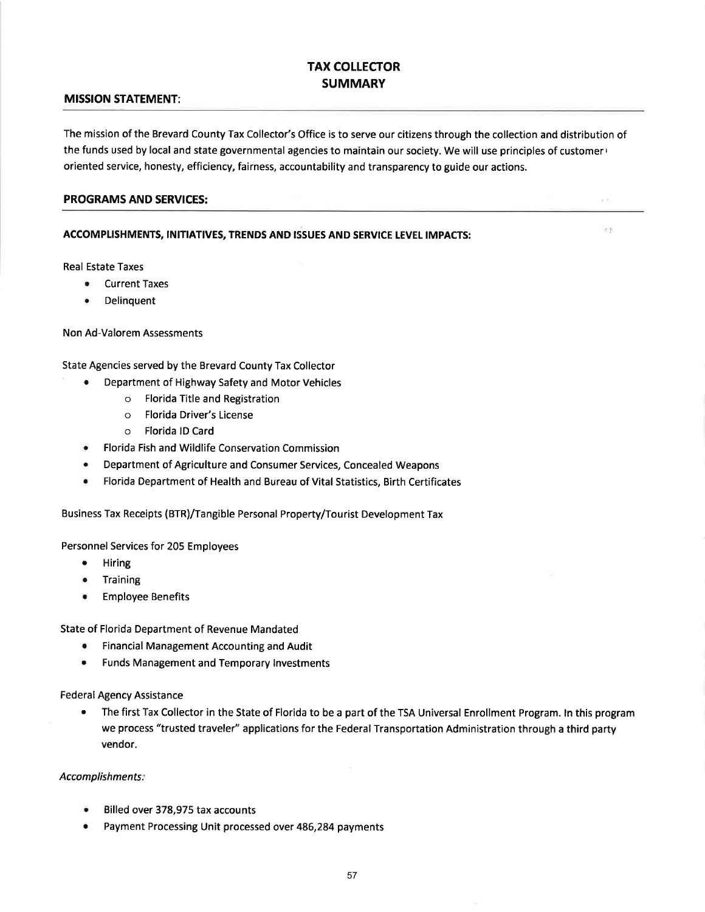## TAX COLLECTOR **SUMMARY**

#### MISSION STATEMENT:

The mission of the Brevard County Tax Collector's Office is to serve our citizens through the collection and distribution of the funds used by local and state governmental agencies to maintain our society. We will use principles of customer  $\cdot$ oriented service, honesty, efficiency, fairness, accountability and transparency to guide our actions.

 $\sim 20$ 

29

#### PROGRAMS AND SERVICES:

#### ACCOMPLISHMENTS, INITIATIVES, TRENDS AND ISSUES AND SERVICE LEVEL IMPACTS:

Real Estate Taxes

- o Current Taxes
- o Delinquent

#### Non Ad-Valorem Assessments

State Agencies served by the Brevard County Tax Collector

- . Department of Highway Safety and Motor Vehicles
	- o Florida Title and Registration
	- o Florida Driver's License
	- o Florida lD Card
- o Florida Fish and Wildlife Conservation Commission
- . Department of Agriculture and Consumer Services, Concealed Weapons
- r Florida Department of Health and Bureau of Vital Statistics, Birth Certificates

Business Tax Receipts (BTR)/Tangible Personal Property/Tourist Development Tax

Personnel Services for 205 Employees

- . Hiring
- **•** Training
- **Employee Benefits**

State of Florida Department of Revenue Mandated

- o Financial Management Accounting and Audit
- o Funds Management and Temporary lnvestments

Federal Agency Assistance

r The first Tax Collector in the State of Florida to be a part of the TSA Universal Enrollment Program. ln this program we process "trusted traveler" applications for the Federal Transportation Administration through a third party vendor.

#### Accomplishments:

- Billed over 378,975 tax accounts
- . Payment Processing Unit processed over 486,284 payments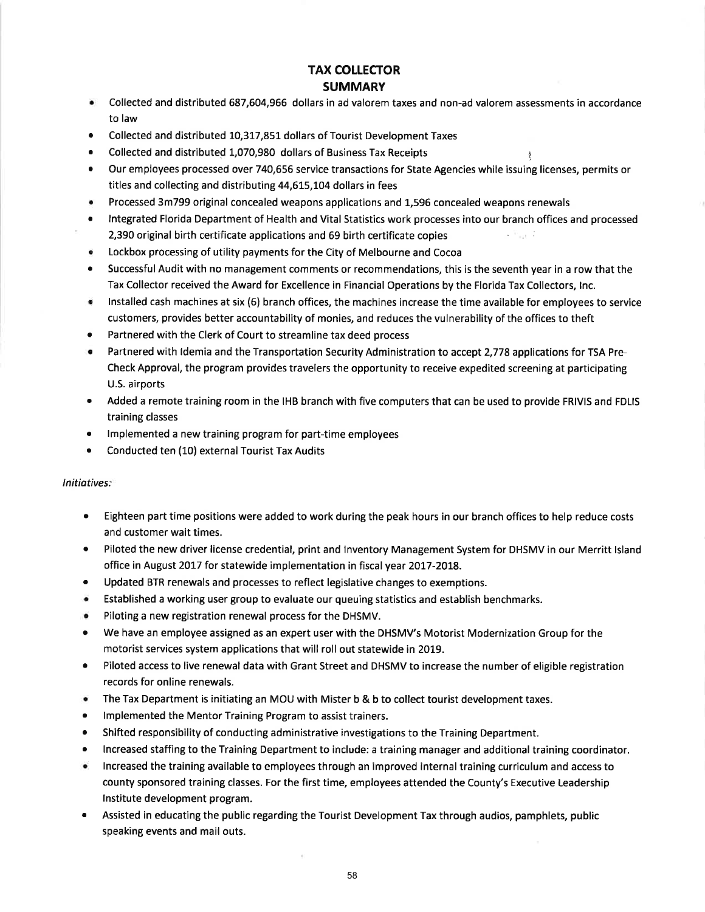# TAX COLLECTOR

#### **SUMMARY**

• Collected and distributed 687,604,966 dollars in ad valorem taxes and non-ad valorem assessments in accordance to law

1

- Collected and distributed 10,317,851 dollars of Tourist Development Taxes
- r Collected and distributed 1,070,980 dollars of Business Tax Receipts
- our employees processed over 740,656 service transactions for State Agencies while issuing licenses, permits or titles and collecting and distributing 44,615,104 dollars in fees
- o Processed 3m799 original concealed weapons applications and 1,596 concealed weapons renewals
- . lntegrated Florida Department of Health and Vital Statistics work processes into our branch offices and processed 2,390 original birth certificate applications and 69 birth certificate copies ................................
- Lockbox processing of utility payments for the City of Melbourne and Cocoa
- Successful Audit with no management comments or recommendations, this is the seventh year in a row that the Tax Collector received the Award for Excellence in Financial Operations by the Florida Tax Collectors, lnc.
- Installed cash machines at six (6) branch offices, the machines increase the time available for employees to service customers, provides better accountability of monies, and reduces the vulnerability of the offices to theft
- . Partnered with the Clerk of Court to streamline tax deed process
- . Partnered with ldemia and the Transportation Security Administration to accept 2,778 applications for TSA Pre-Check Approval, the program provides travelers the opportunity to receive expedited screening at participating U.S. airports
- Added a remote training room in the IHB branch with five computers that can be used to provide FRIVIS and FDLIS training classes
- o lmplemented a new training program for part-time employees
- Conducted ten (10) external Tourist Tax Audits

#### lnitiotives:

- . Eighteen part time positions were added to work during the peak hours in our branch offices to help reduce costs and customer wait times.
- Piloted the new driver license credential, print and Inventory Management System for DHSMV in our Merritt Island office in August 2017 for statewide implementation in fiscal year 2017-2018.
- . Updated BTR renewals and processes to reflect legislative changes to exemptions.
- . Established a working user group to evaluate our queuing statistics and establish benchmarks.
- $\bullet$  Piloting a new registration renewal process for the DHSMV.
- We have an employee assigned as an expert user with the DHSMV's Motorist Modernization Group for the motorist services system applications that will roll out statewide in 2019.
- Piloted access to live renewal data with Grant Street and DHSMV to increase the number of eligible registration records for online renewals.
- o The Tax Department is initiating an MOU with Mister b & b to collect tourist development taxes.
- **•** Implemented the Mentor Training Program to assist trainers.
- o Shifted responsibility of conducting administrative investigations to the Training Department.
- . lncreased staffing to the Training Department to include: a training manager and additional training coordinator.
- o lncreased the training available to employees through an improved internal training curriculum and access to county sponsored training classes. For the first time, employees attended the County's Executive Leadership lnstitute development program.
- Assisted in educating the public regarding the Tourist Development Tax through audios, pamphlets, public speaking events and mail outs.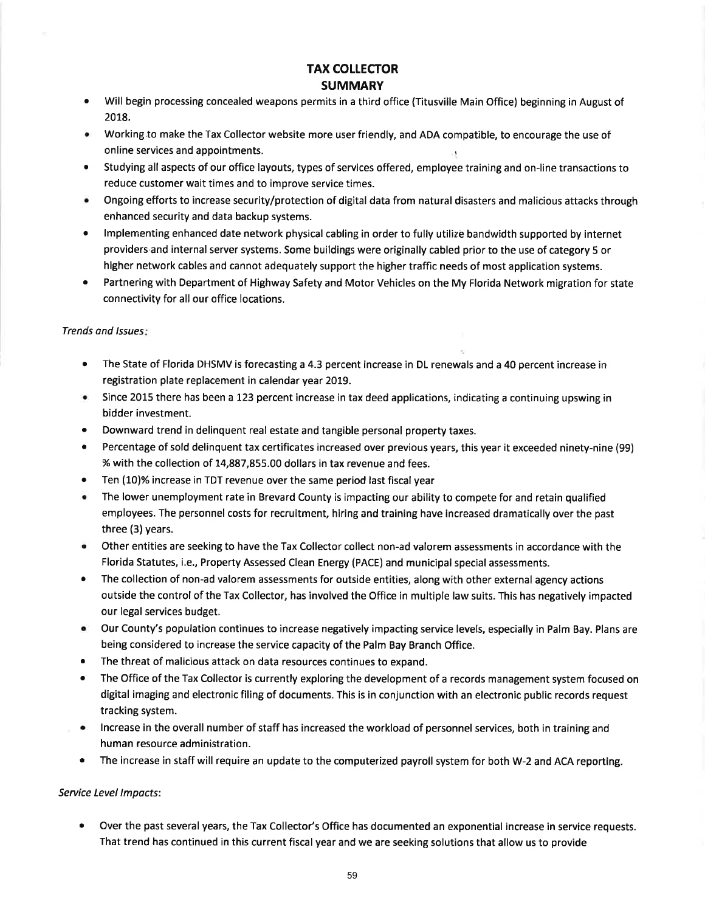## TAX COLLECTOR SUMMARY

- Will begin processing concealed weapons permits in a third office (Titusville Main Office) beginning in August of 2018. a
- Working to make the Tax Collector website more user friendly, and ADA compatible, to encourage the use of online services and appointments. <sup>I</sup>
- Studying all aspects of our office layouts, types of services offered, employee training and on-line transactions to reduce customer wait times and to improve service times. a
- Ongoing efforts to increase security/protection of digital data from natural disasters and malicious attacks through enhanced security and data backup systems.
- Implementing enhanced date network physical cabling in order to fully utilize bandwidth supported by internet providers'and internal server systems. Some buildings were originally cabled prior to the use of category 5 or higher network cables and cannot adequately support the higher traffic needs of most application systems. a
- Partnering with Department of Highway Safety and Motor Vehicles on the My Florida Network migration for state connectivity for all our office locations. a

#### Trends and Issues:

- The State of Florida DHSMV is forecasting a 4.3 percent increase in DL renewals and a 40 percent increase in registration plate replacement in calendar year 2019.
- Since 2015 there has been a 123 percent increase in tax deed applications, indicating a continuing upswing in bidder investment.
- Downward trend in delinquent real estate and tangible personal property taxes.
- Percentage of sold delinquent tax certificates increased over previous years, this year it exceeded ninety-nine (99) % with the collection of 14,887,855.00 dollars in tax revenue and fees.
- Ten (10)% increase in TDT revenue over the same period last fiscal year
- r The lower unemployment rate in Brevard County is impacting our ability to compete for and retain qualified employees. The personnel costs for recruitment, hiring and training have increased dramatically over the past three (3) years.
- o Other entities are seeking to have the Tax Collector collect non-ad valorem assessments in accordance with the Florida Statutes, i.e., Property Assessed Clean Energy (PACE) and municipal special assessments.
- The collection of non-ad valorem assessments for outside entities, along with other external agency actions outside the control of the Tax Collector, has involved the Office in multiple law suits. This has negatively impacted our legal services budget.
- . Our County's population continues to increase negatively impacting service levels, especially in Palm Bay. Plans are being considered to increase the service capacity of the Palm Bay Branch Office.
- The threat of malicious attack on data resources continues to expand.
- The Office of the Tax Collector is currently exploring the development of a records management system focused on digital imaging and electronic filing of documents. This is in conjunction with an electronic public records request tracking system.
- . lncrease in the overall number of staff has increased the workload of personnel services, both in training and human resource administration.
- The increase in staff will require an update to the computerized payroll system for both W-2 and ACA reporting.

#### Service Level lmpocts:

Over the past several years, the Tax Collector's Office has documented an exponential increase in service requests. That trend has continued in this current fiscal year and we are seeking solutions that allow us to provide a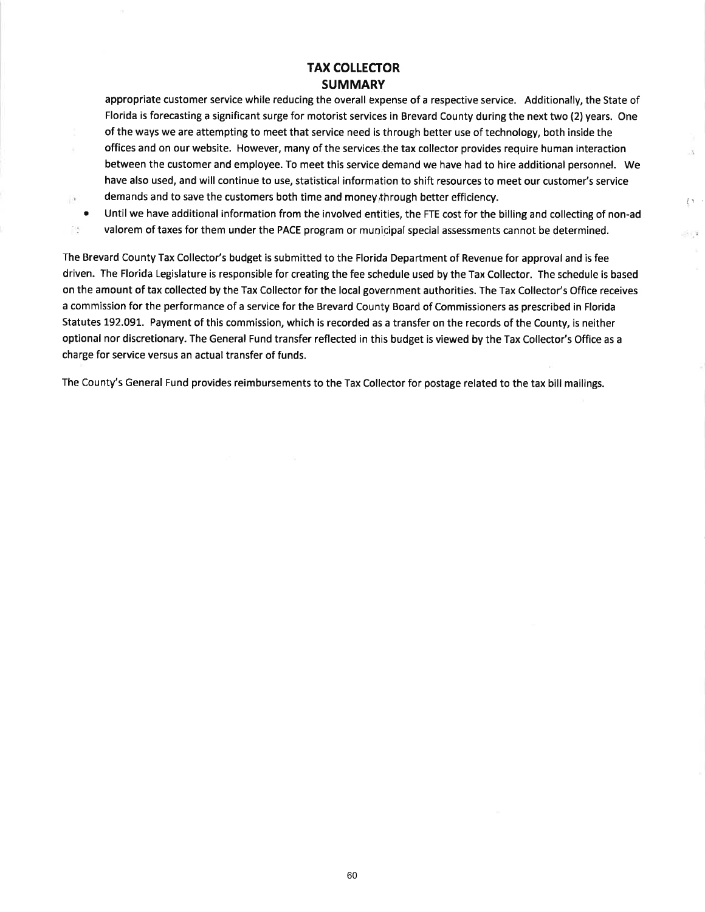## TAX COLLECTOR **SUMMARY**

appropriate customer service while reducing the overall expense of a respective service. Additionally, the State of Florida is forecasting a significant surge for motorist services in Brevard County during the next two (2) years. One of the ways we are attempting to meet that service need is through better use of technology, both inside the offices and on our website. However, many of the services the tax collector provides require human interaction between the customer and employee. To meet this service demand we have had to hire additional personnel. We have also used, and will continue to use, statistical information to shift resources to meet our customer's service demands and to save the customers both time and money, through better efficiency.

 $\alpha$ a 霞

Until we have additional information from the involved entities, the FTE cost for the billing and collecting of non-ad valorem of taxes for them under the PACE program or municipal special assessments cannot be determined.

 $\uparrow$   $\uparrow$ 

 $\sim 1$ 

 $\overline{\delta}$ 

The Brevard County Tax Collector's budget is submitted to the Florida Department of Revenue for approval and is fee driven. The Florida Legislature is responsible for creating the fee schedule used by the Tax Collector. The schedule is based on the amount of tax collected by the Tax Collector for the local government authorities. The Tax Collector's Office receives a commission for the performance of a service for the Brevard County Board of Commissioners as prescribed in Florida Statutes 192.091. Payment of this commission, which is recorded as a transfer on the records of the County, is neither optional nor discretionary. The General Fund transfer reflected in this budget is viewed by the Tax Collector's Office as <sup>a</sup> charge for service versus an actual transfer of funds.

The County's General Fund provides reimbursements to the Tax Collector for postage related to the tax bill mailings.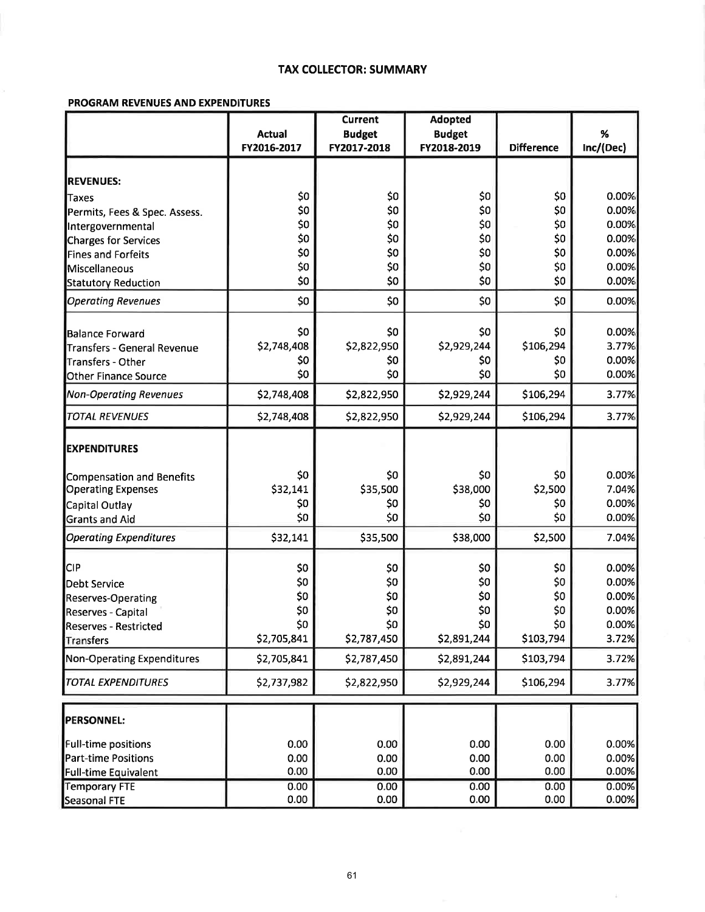#### **TAX COLLECTOR: SUMMARY**

#### PROGRAM REVENUES AND EXPENDITURES

|                                   |               | <b>Current</b> | <b>Adopted</b> |                   |           |  |
|-----------------------------------|---------------|----------------|----------------|-------------------|-----------|--|
|                                   | <b>Actual</b> | <b>Budget</b>  | <b>Budget</b>  |                   | $\%$      |  |
|                                   | FY2016-2017   | FY2017-2018    | FY2018-2019    | <b>Difference</b> | Inc/(Dec) |  |
|                                   |               |                |                |                   |           |  |
| <b>REVENUES:</b>                  |               |                |                |                   |           |  |
| Taxes                             | \$0           | \$0            | \$0            | \$0               | 0.00%     |  |
| Permits, Fees & Spec. Assess.     | \$0           | \$0            | \$0            | \$0               | 0.00%     |  |
| Intergovernmental                 | \$0           | \$0            | \$0            | \$0               | 0.00%     |  |
| Charges for Services              | \$0           | \$0            | \$0            | \$0               | 0.00%     |  |
| <b>Fines and Forfeits</b>         | \$0           | \$0            | \$0            | \$0               | 0.00%     |  |
| Miscellaneous                     | \$0           | \$0            | \$0            | \$0               | 0.00%     |  |
| <b>Statutory Reduction</b>        | \$0           | \$0            | \$0            | \$0               | 0.00%     |  |
| <b>Operating Revenues</b>         | \$0           | \$0            | \$0            | \$0               | 0.00%     |  |
| <b>Balance Forward</b>            | \$0           | \$0            | \$0            | \$0               | 0.00%     |  |
| Transfers - General Revenue       | \$2,748,408   | \$2,822,950    | \$2,929,244    | \$106,294         | 3.77%     |  |
| Transfers - Other                 | \$0           | \$0            | \$0            | \$0               | 0.00%     |  |
| <b>Other Finance Source</b>       | \$0           | \$0            | \$0            | \$0               | 0.00%     |  |
| <b>Non-Operating Revenues</b>     | \$2,748,408   | \$2,822,950    | \$2,929,244    | \$106,294         | 3.77%     |  |
| <b>TOTAL REVENUES</b>             | \$2,748,408   | \$2,822,950    | \$2,929,244    | \$106,294         | 3.77%     |  |
| <b>EXPENDITURES</b>               |               |                |                |                   |           |  |
| Compensation and Benefits         | \$0           | \$0            | \$0            | \$0               | 0.00%     |  |
| <b>Operating Expenses</b>         | \$32,141      | \$35,500       | \$38,000       | \$2,500           | 7.04%     |  |
| Capital Outlay                    | \$0           | \$0            | \$0            | \$0               | 0.00%     |  |
| <b>Grants and Aid</b>             | \$0           | \$0            | \$0            | \$0               | 0.00%     |  |
| <b>Operating Expenditures</b>     | \$32,141      | \$35,500       | \$38,000       | \$2,500           | 7.04%     |  |
| <b>CIP</b>                        | \$0           | \$0            | \$0            | \$0               | 0.00%     |  |
| Debt Service                      | \$0           | \$0            | \$0            | \$0               | 0.00%     |  |
| <b>Reserves-Operating</b>         | \$0           | \$0            | \$0            | \$0               | 0.00%     |  |
| Reserves - Capital                | \$0           | \$0            | \$0            | \$0               | 0.00%     |  |
| Reserves - Restricted             | \$0           | \$0            | \$0            | \$0               | 0.00%     |  |
| <b>Transfers</b>                  | \$2,705,841   | \$2,787,450    | \$2,891,244    | \$103,794         | 3.72%     |  |
| <b>Non-Operating Expenditures</b> | \$2,705,841   | \$2,787,450    | \$2,891,244    | \$103,794         | 3.72%     |  |
| <b>TOTAL EXPENDITURES</b>         | \$2,737,982   | \$2,822,950    | \$2,929,244    | \$106,294         | 3.77%     |  |
|                                   |               |                |                |                   |           |  |
| <b>PERSONNEL:</b>                 |               |                |                |                   |           |  |
| Full-time positions               | 0.00          | 0.00           | 0.00           | 0.00              | 0.00%     |  |
| <b>Part-time Positions</b>        | 0.00          | 0.00           | 0.00           | 0.00              | 0.00%     |  |
| <b>Full-time Equivalent</b>       | 0.00          | 0.00           | 0.00           | 0.00              | 0.00%     |  |
| <b>Temporary FTE</b>              | 0.00          | 0.00           | 0.00           | 0.00              | 0.00%     |  |
| Seasonal FTE                      | 0.00          | 0.00           | 0.00           | 0.00              | 0.00%     |  |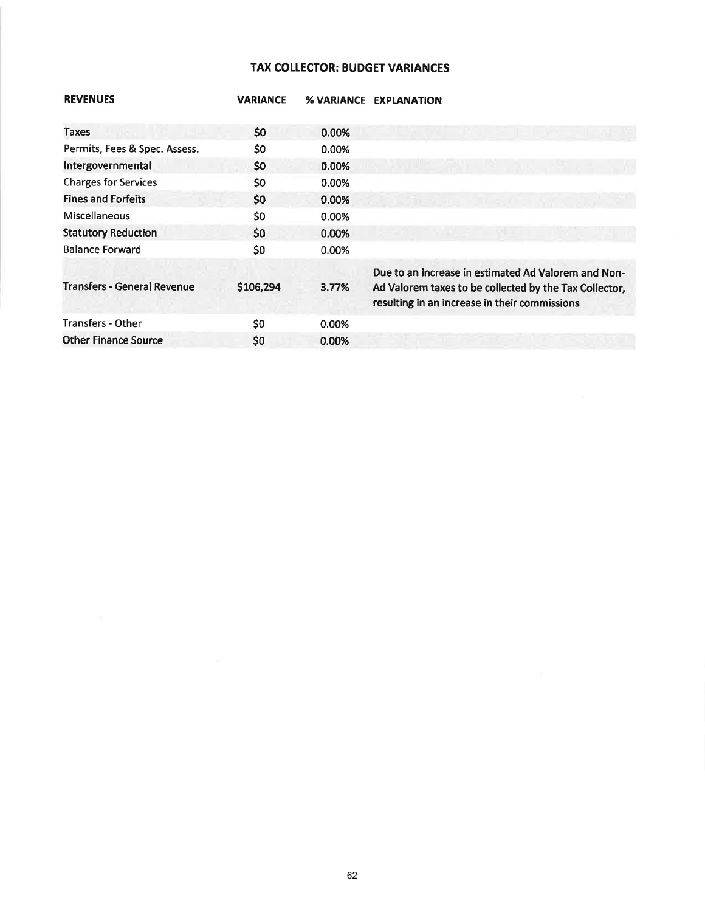## **TAX COLLECTOR: BUDGET VARIANCES**

| <b>REVENUES</b>                    | <b>VARIANCE</b> | <b>% VARIANCE</b> | <b>EXPLANATION</b>                                                                                                                                             |
|------------------------------------|-----------------|-------------------|----------------------------------------------------------------------------------------------------------------------------------------------------------------|
| Taxes                              | \$0             | 0.00%             |                                                                                                                                                                |
| Permits, Fees & Spec. Assess.      | \$0             | 0.00%             |                                                                                                                                                                |
| Intergovernmental                  | \$0             | 0.00%             |                                                                                                                                                                |
| <b>Charges for Services</b>        | \$0             | 0.00%             |                                                                                                                                                                |
| <b>Fines and Forfeits</b>          | \$0             | 0.00%             |                                                                                                                                                                |
| <b>Miscellaneous</b>               | \$0             | 0.00%             |                                                                                                                                                                |
| <b>Statutory Reduction</b>         | \$0             | 0.00%             |                                                                                                                                                                |
| <b>Balance Forward</b>             | \$0             | 0.00%             |                                                                                                                                                                |
| <b>Transfers - General Revenue</b> | \$106,294       | 3.77%             | Due to an increase in estimated Ad Valorem and Non-<br>Ad Valorem taxes to be collected by the Tax Collector,<br>resulting in an increase in their commissions |
| Transfers - Other                  | \$0             | 0.00%             |                                                                                                                                                                |
| <b>Other Finance Source</b>        | \$0             | 0.00%             |                                                                                                                                                                |

 $\sim$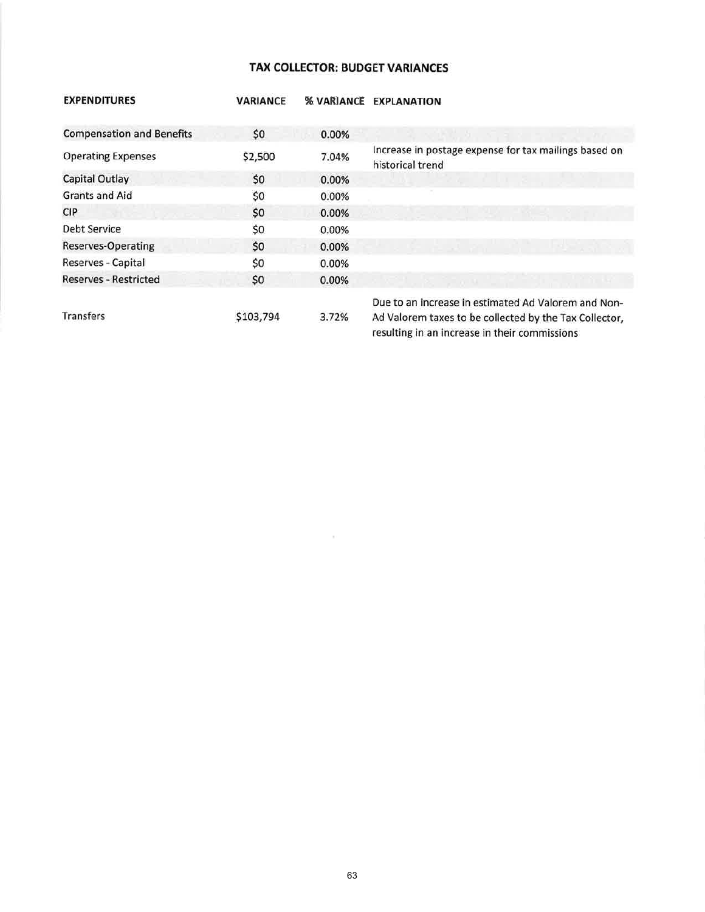## TAX COLLECTOR: BUDGET VARIANCES

| <b>EXPENDITURES</b>              | <b><i>VARIANCE</i></b> | <b>% VARIANCE</b> | <b>EXPLANATION</b>                                                                                                                                             |
|----------------------------------|------------------------|-------------------|----------------------------------------------------------------------------------------------------------------------------------------------------------------|
| <b>Compensation and Benefits</b> | \$0                    | 0.00%             |                                                                                                                                                                |
| <b>Operating Expenses</b>        | \$2,500                | 7.04%             | Increase in postage expense for tax mailings based on<br>historical trend                                                                                      |
| Capital Outlay                   | \$0                    | 0.00%             |                                                                                                                                                                |
| <b>Grants and Aid</b>            | \$0                    | 0.00%             |                                                                                                                                                                |
| <b>CIP</b>                       | \$0                    | 0.00%             |                                                                                                                                                                |
| Debt Service                     | \$0                    | 0.00%             |                                                                                                                                                                |
| <b>Reserves-Operating</b>        | \$0                    | 0.00%             |                                                                                                                                                                |
| Reserves - Capital               | \$0                    | 0.00%             |                                                                                                                                                                |
| <b>Reserves - Restricted</b>     | \$0                    | 0.00%             |                                                                                                                                                                |
| <b>Transfers</b>                 | \$103,794              | 3.72%             | Due to an increase in estimated Ad Valorem and Non-<br>Ad Valorem taxes to be collected by the Tax Collector,<br>resulting in an increase in their commissions |

 $\sim$